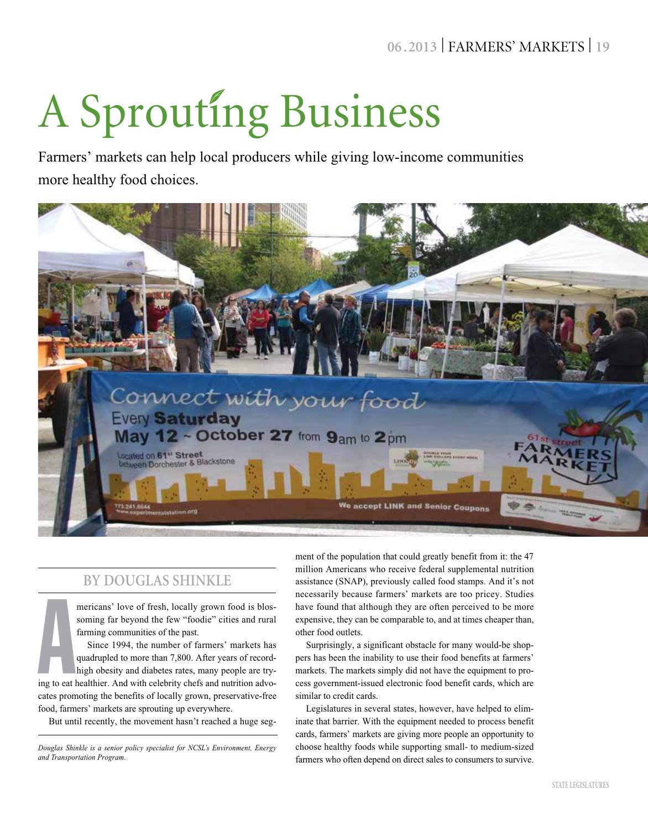# **06 .2013** | FARMERS' MARKETS | **19**

# A Sprouting Business

Farmers' markets can help local producers while giving low-income communities more healthy food choices.



## **By Douglas Shinkle**

mericans' love of fresh, locally grown food is blossoming far beyond the few "foodie" cities and rural farming communities of the past.

Since 1994, the number of farmers' markets has quadrupled to more than 7,800. After years of record-

**A**<br>ing to eat 1 high obesity and diabetes rates, many people are trying to eat healthier. And with celebrity chefs and nutrition advocates promoting the benefits of locally grown, preservative-free food, farmers' markets are sprouting up everywhere.

But until recently, the movement hasn't reached a huge seg-

ment of the population that could greatly benefit from it: the 47 million Americans who receive federal supplemental nutrition assistance (SNAP), previously called food stamps. And it's not necessarily because farmers' markets are too pricey. Studies have found that although they are often perceived to be more expensive, they can be comparable to, and at times cheaper than, other food outlets.

Surprisingly, a significant obstacle for many would-be shoppers has been the inability to use their food benefits at farmers' markets. The markets simply did not have the equipment to process government-issued electronic food benefit cards, which are similar to credit cards.

Legislatures in several states, however, have helped to eliminate that barrier. With the equipment needed to process benefit cards, farmers' markets are giving more people an opportunity to choose healthy foods while supporting small- to medium-sized farmers who often depend on direct sales to consumers to survive.

*Douglas Shinkle is a senior policy specialist for NCSL's Environment, Energy and Transportation Program.*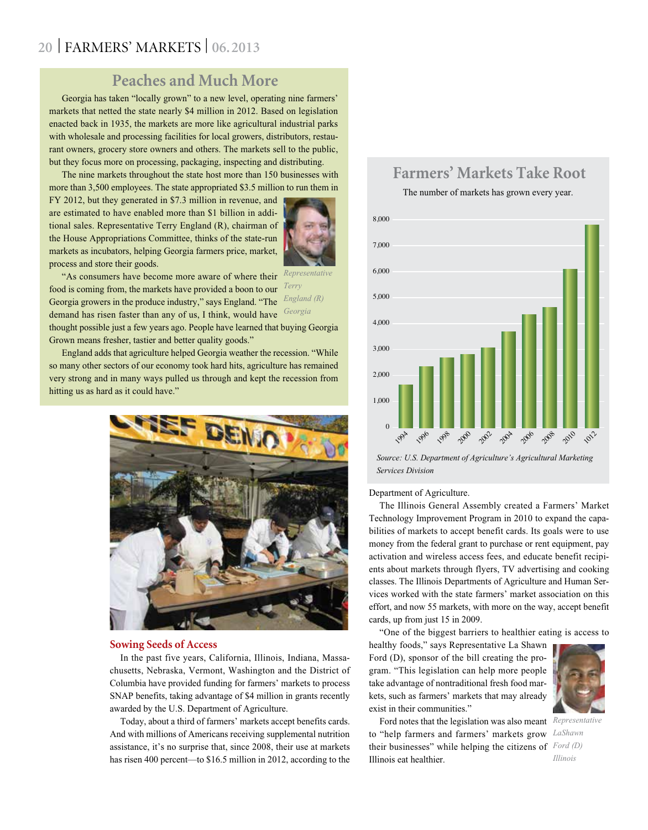# **20** | FARMERS' MARKETS | **06.2013**

## **Peaches and Much More**

Georgia has taken "locally grown" to a new level, operating nine farmers' markets that netted the state nearly \$4 million in 2012. Based on legislation enacted back in 1935, the markets are more like agricultural industrial parks with wholesale and processing facilities for local growers, distributors, restaurant owners, grocery store owners and others. The markets sell to the public, but they focus more on processing, packaging, inspecting and distributing.

The nine markets throughout the state host more than 150 businesses with more than 3,500 employees. The state appropriated \$3.5 million to run them in

FY 2012, but they generated in \$7.3 million in revenue, and are estimated to have enabled more than \$1 billion in additional sales. Representative Terry England (R), chairman of the House Appropriations Committee, thinks of the state-run markets as incubators, helping Georgia farmers price, market, process and store their goods.



*Terry* 

"As consumers have become more aware of where their *Representative*  food is coming from, the markets have provided a boon to our Georgia growers in the produce industry," says England. "The *England (R)*  demand has risen faster than any of us, I think, would have *Georgia*

thought possible just a few years ago. People have learned that buying Georgia Grown means fresher, tastier and better quality goods."

England adds that agriculture helped Georgia weather the recession. "While so many other sectors of our economy took hard hits, agriculture has remained very strong and in many ways pulled us through and kept the recession from hitting us as hard as it could have."



#### **Sowing Seeds of Access**

In the past five years, California, Illinois, Indiana, Massachusetts, Nebraska, Vermont, Washington and the District of Columbia have provided funding for farmers' markets to process SNAP benefits, taking advantage of \$4 million in grants recently awarded by the U.S. Department of Agriculture.

Today, about a third of farmers' markets accept benefits cards. And with millions of Americans receiving supplemental nutrition assistance, it's no surprise that, since 2008, their use at markets has risen 400 percent—to \$16.5 million in 2012, according to the

## **Farmers' Markets Take Root**

The number of markets has grown every year.



*Source: U.S. Department of Agriculture's Agricultural Marketing Services Division*

#### Department of Agriculture.

The Illinois General Assembly created a Farmers' Market Technology Improvement Program in 2010 to expand the capabilities of markets to accept benefit cards. Its goals were to use money from the federal grant to purchase or rent equipment, pay activation and wireless access fees, and educate benefit recipients about markets through flyers, TV advertising and cooking classes. The Illinois Departments of Agriculture and Human Services worked with the state farmers' market association on this effort, and now 55 markets, with more on the way, accept benefit cards, up from just 15 in 2009.

"One of the biggest barriers to healthier eating is access to

healthy foods," says Representative La Shawn Ford (D), sponsor of the bill creating the program. "This legislation can help more people take advantage of nontraditional fresh food markets, such as farmers' markets that may already exist in their communities."



Ford notes that the legislation was also meant *Representative*  to "help farmers and farmers' markets grow *LaShawn*  their businesses" while helping the citizens of *Ford (D)*  Illinois eat healthier.

*Illinois*